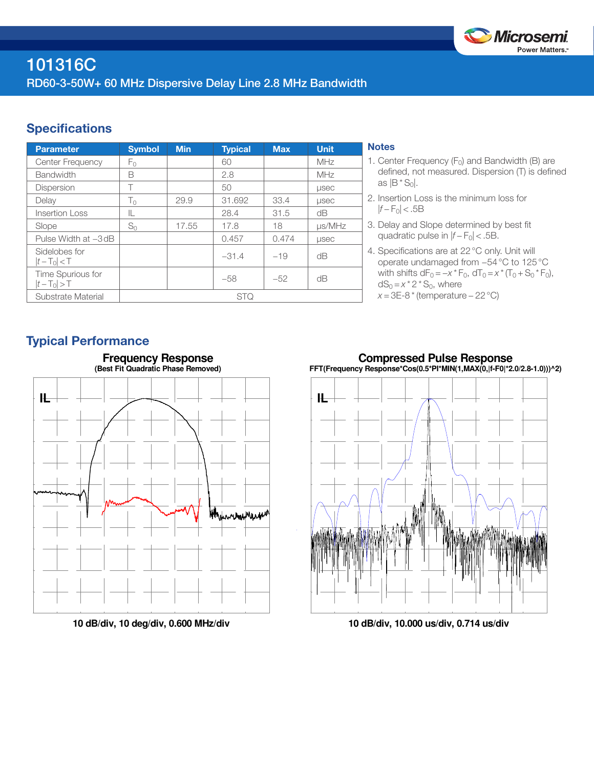

## **Specifications**

| <b>Parameter</b>                 | <b>Symbol</b> | <b>Min</b> | <b>Typical</b> | <b>Max</b> | Unit.        |
|----------------------------------|---------------|------------|----------------|------------|--------------|
| Center Frequency                 | Fο            |            | 60             |            | MHz          |
| <b>Bandwidth</b>                 | B             |            | 2.8            |            | MHz          |
| <b>Dispersion</b>                | Т             |            | 50             |            | <b>LISEC</b> |
| Delay                            | $T_0$         | 29.9       | 31.692         | 33.4       | <b>LISEC</b> |
| <b>Insertion Loss</b>            | IL            |            | 28.4           | 31.5       | dB           |
| Slope                            | $S_0$         | 17.55      | 17.8           | 18         | $\mu$ s/MHz  |
| Pulse Width at -3 dB             |               |            | 0.457          | 0.474      | <b>LISEC</b> |
| Sidelobes for<br>$ t-T_0  < T$   |               |            | $-31.4$        | $-19$      | dB           |
| Time Spurious for<br>$ t-T_0 >T$ |               |            | $-58$          | $-52$      | dB           |
| Substrate Material               | <b>STQ</b>    |            |                |            |              |

### **Notes**

- 1. Center Frequency  $(F_0)$  and Bandwidth (B) are defined, not measured. Dispersion (T) is defined as  $|B * S_0|$ .
- 2. Insertion Loss is the minimum loss for |*f* − F0| < .5B
- 3. Delay and Slope determined by best fit quadratic pulse in  $|f - F_0|$  < .5B.
- 4. Specifications are at 22°C only. Unit will operate undamaged from −54°C to 125°C with shifts  $dF_0 = -x * F_0$ ,  $dT_0 = x * (T_0 + S_0 * F_0)$ ,  $dS_0 = x^* 2^* S_0$ , where *x* = 3E-8 \* (temperature – 22 °C)

# Typical Performance



**10 dB/div, 10 deg/div, 0.600 MHz/div**

**Compressed Pulse Response FFT(Frequency Response\*Cos(0.5\*PI\*MIN(1,MAX(0,|f-F0|\*2.0/2.8-1.0)))^2)**



**10 dB/div, 10.000 us/div, 0.714 us/div**

# **Frequency Response**